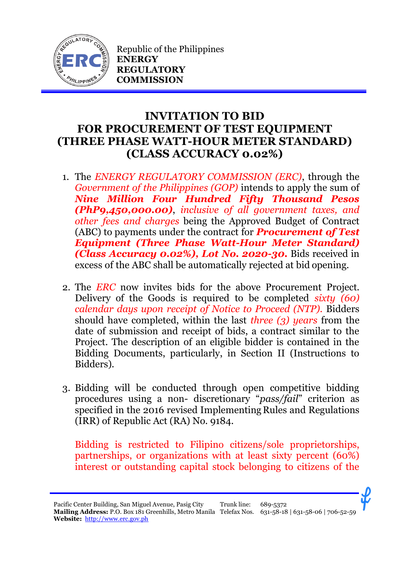

Republic of the Philippines **ENERGY REGULATORY COMMISSION**

## **INVITATION TO BID FOR PROCUREMENT OF TEST EQUIPMENT (THREE PHASE WATT-HOUR METER STANDARD) (CLASS ACCURACY 0.02%)**

- 1. The *ENERGY REGULATORY COMMISSION (ERC)*, through the *Government of the Philippines (GOP)* intends to apply the sum of *Nine Million Four Hundred Fifty Thousand Pesos (PhP9,450,000.00)*, *inclusive of all government taxes, and other fees and charges* being the Approved Budget of Contract (ABC) to payments under the contract for *Procurement of Test Equipment (Three Phase Watt-Hour Meter Standard) (Class Accuracy 0.02%), Lot No. 2020-30.* Bids received in excess of the ABC shall be automatically rejected at bid opening.
- 2. The *ERC* now invites bids for the above Procurement Project. Delivery of the Goods is required to be completed *sixty (60) calendar days upon receipt of Notice to Proceed (NTP).* Bidders should have completed, within the last *three (3) years* from the date of submission and receipt of bids, a contract similar to the Project. The description of an eligible bidder is contained in the Bidding Documents, particularly, in Section II (Instructions to Bidders).
- 3. Bidding will be conducted through open competitive bidding procedures using a non- discretionary "*pass/fail*" criterion as specified in the 2016 revised Implementing Rules and Regulations (IRR) of Republic Act (RA) No. 9184.

Bidding is restricted to Filipino citizens/sole proprietorships, partnerships, or organizations with at least sixty percent (60%) interest or outstanding capital stock belonging to citizens of the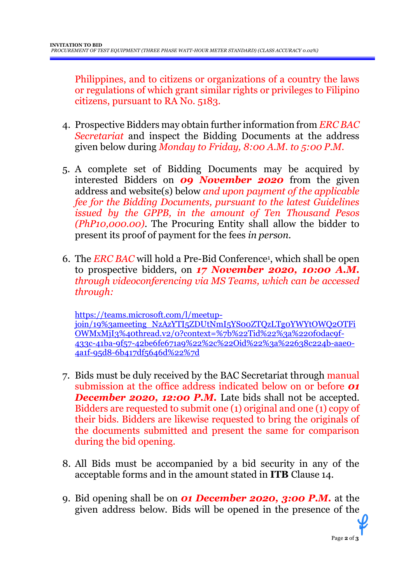Philippines, and to citizens or organizations of a country the laws or regulations of which grant similar rights or privileges to Filipino citizens, pursuant to RA No. 5183.

- 4. Prospective Bidders may obtain further information from *ERC BAC Secretariat* and inspect the Bidding Documents at the address given below during *Monday to Friday, 8:00 A.M. to 5:00 P.M*.
- 5. A complete set of Bidding Documents may be acquired by interested Bidders on *09 November 2020* from the given address and website(s) below *and upon payment of the applicable fee for the Bidding Documents, pursuant to the latest Guidelines issued by the GPPB, in the amount of Ten Thousand Pesos (PhP10,000.00)*. The Procuring Entity shall allow the bidder to present its proof of payment for the fees *in person.*
- 6. The *ERC BAC* will hold a Pre-Bid Conference<sup>1</sup> , which shall be open to prospective bidders, on *17 November 2020, 10:00 A.M. through videoconferencing via MS Teams, which can be accessed through:*

[https://teams.microsoft.com/l/meetup](https://teams.microsoft.com/l/meetup-join/19%3ameeting_NzAzYTI5ZDUtNmI5YS00ZTQzLTg0YWYtOWQ2OTFiOWMxMjI3%40thread.v2/0?context=%7b%22Tid%22%3a%220f0dac9f-433c-41ba-9f57-42be6fe671a9%22%2c%22Oid%22%3a%22638c224b-aae0-4a1f-95d8-6b417df5646d%22%7d)[join/19%3ameeting\\_NzAzYTI5ZDUtNmI5YS00ZTQzLTg0YWYtOWQ2OTFi](https://teams.microsoft.com/l/meetup-join/19%3ameeting_NzAzYTI5ZDUtNmI5YS00ZTQzLTg0YWYtOWQ2OTFiOWMxMjI3%40thread.v2/0?context=%7b%22Tid%22%3a%220f0dac9f-433c-41ba-9f57-42be6fe671a9%22%2c%22Oid%22%3a%22638c224b-aae0-4a1f-95d8-6b417df5646d%22%7d) [OWMxMjI3%40thread.v2/0?context=%7b%22Tid%22%3a%220f0dac9f-](https://teams.microsoft.com/l/meetup-join/19%3ameeting_NzAzYTI5ZDUtNmI5YS00ZTQzLTg0YWYtOWQ2OTFiOWMxMjI3%40thread.v2/0?context=%7b%22Tid%22%3a%220f0dac9f-433c-41ba-9f57-42be6fe671a9%22%2c%22Oid%22%3a%22638c224b-aae0-4a1f-95d8-6b417df5646d%22%7d)[433c-41ba-9f57-42be6fe671a9%22%2c%22Oid%22%3a%22638c224b-aae0-](https://teams.microsoft.com/l/meetup-join/19%3ameeting_NzAzYTI5ZDUtNmI5YS00ZTQzLTg0YWYtOWQ2OTFiOWMxMjI3%40thread.v2/0?context=%7b%22Tid%22%3a%220f0dac9f-433c-41ba-9f57-42be6fe671a9%22%2c%22Oid%22%3a%22638c224b-aae0-4a1f-95d8-6b417df5646d%22%7d) [4a1f-95d8-6b417df5646d%22%7d](https://teams.microsoft.com/l/meetup-join/19%3ameeting_NzAzYTI5ZDUtNmI5YS00ZTQzLTg0YWYtOWQ2OTFiOWMxMjI3%40thread.v2/0?context=%7b%22Tid%22%3a%220f0dac9f-433c-41ba-9f57-42be6fe671a9%22%2c%22Oid%22%3a%22638c224b-aae0-4a1f-95d8-6b417df5646d%22%7d)

- 7. Bids must be duly received by the BAC Secretariat through manual submission at the office address indicated below on or before *01*  **December 2020, 12:00 P.M.** Late bids shall not be accepted. Bidders are requested to submit one (1) original and one (1) copy of their bids. Bidders are likewise requested to bring the originals of the documents submitted and present the same for comparison during the bid opening.
- 8. All Bids must be accompanied by a bid security in any of the acceptable forms and in the amount stated in **ITB** Clause 14.
- 9. Bid opening shall be on *01 December 2020, 3:00 P.M.* at the given address below. Bids will be opened in the presence of the